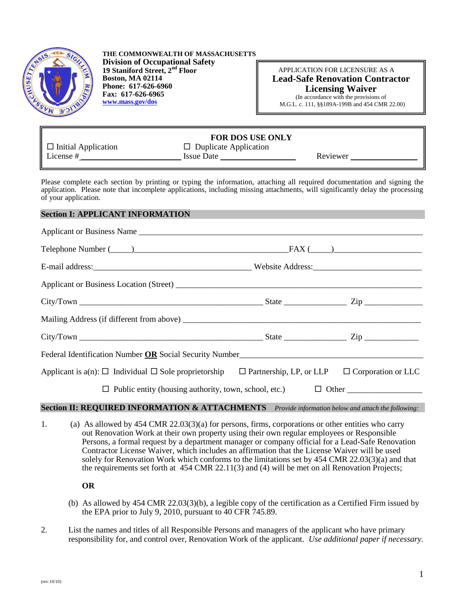

**THE COMMONWEALTH OF MASSACHUSETTS Division of Occupational Safety 19 Staniford Street, 2nd Floor Boston, MA 02114 Phone: 617-626-6960 Fax: 617-626-6965 [www.mass.gov/dos](file:///C:/Documents%20and%20Settings/HRowe/Local%20Settings/Temporary%20Internet%20Files/Local%20Settings/Temporary%20Internet%20Files/Local%20Settings/HRowe/Local%20Settings/Temporary%20Internet%20Files/Content.Outlook/399UB3TJ/www.mass.gov/dos)**

## APPLICATION FOR LICENSURE AS A  **Lead-Safe Renovation Contractor Licensing Waiver**

(In accordance with the provisions of M.G.L. c. 111, §§189A-199B and 454 CMR 22.00)

# **FOR DOS USE ONLY**

 $\square$  Initial Application  $\square$  Duplicate Application License # \_\_\_\_\_\_\_\_\_\_\_\_\_\_\_\_\_\_\_\_\_\_\_\_ Issue Date \_\_\_\_\_\_\_\_\_\_\_\_\_\_\_\_\_\_ Reviewer \_\_\_\_\_\_\_\_\_\_\_\_\_\_\_\_

Please complete each section by printing or typing the information, attaching all required documentation and signing the application. Please note that incomplete applications, including missing attachments, will significantly delay the processing of your application.

#### **Section I: APPLICANT INFORMATION**

| Applicant or Business Name                                                                                                  |  |  |  |
|-----------------------------------------------------------------------------------------------------------------------------|--|--|--|
|                                                                                                                             |  |  |  |
|                                                                                                                             |  |  |  |
|                                                                                                                             |  |  |  |
| $City/ Town$ $\_\_\_\_\_\_\_\_$ $\_\_\_\_\_\_$                                                                              |  |  |  |
|                                                                                                                             |  |  |  |
| $City/ Town$ $\_\_\_\_\_\_\_\_\_\_$ $State$ $\_\_\_\_\_\_\_\_$ $Zip$ $\_\_\_\_\_\_\_\_$                                     |  |  |  |
| Federal Identification Number OR Social Security Number                                                                     |  |  |  |
| Applicant is $a(n)$ : $\Box$ Individual $\Box$ Sole proprietorship $\Box$ Partnership, LP, or LLP $\Box$ Corporation or LLC |  |  |  |
| $\Box$ Public entity (housing authority, town, school, etc.) $\Box$ Other                                                   |  |  |  |
|                                                                                                                             |  |  |  |

## **Section II: REQUIRED INFORMATION & ATTACHMENTS** *Provide information below and attach the following:*

1. (a) As allowed by 454 CMR 22.03(3)(a) for persons, firms, corporations or other entities who carry out Renovation Work at their own property using their own regular employees or Responsible Persons, a formal request by a department manager or company official for a Lead-Safe Renovation Contractor License Waiver, which includes an affirmation that the License Waiver will be used solely for Renovation Work which conforms to the limitations set by 454 CMR 22.03(3)(a) and that the requirements set forth at 454 CMR 22.11(3) and (4) will be met on all Renovation Projects;

#### **OR**

- (b) As allowed by 454 CMR 22.03(3)(b), a legible copy of the certification as a Certified Firm issued by the EPA prior to July 9, 2010, pursuant to 40 CFR 745.89.
- 2. List the names and titles of all Responsible Persons and managers of the applicant who have primary responsibility for, and control over, Renovation Work of the applicant. *Use additional paper if necessary.*